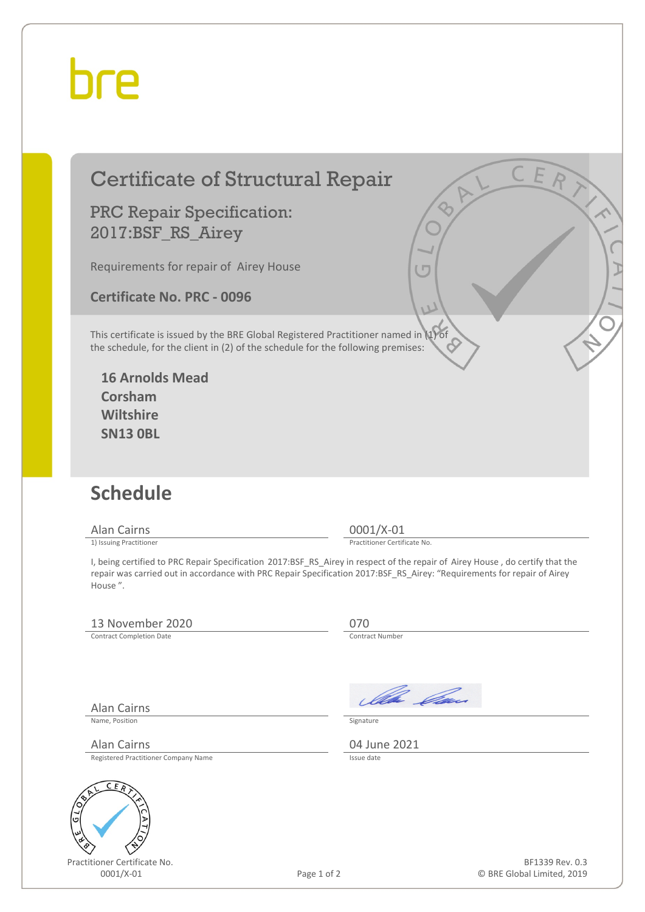## hre

### Certificate of Structural Repair

#### PRC Repair Specification: 2017:BSF\_RS\_Airey

Requirements for repair of Airey House

**Certificate No. PRC - 0096**

This certificate is issued by the BRE Global Registered Practitioner named in (1) of the schedule, for the client in (2) of the schedule for the following premises:

**16 Arnolds Mead Corsham Wiltshire SN13 0BL**

## **Schedule**

Alan Cairns 0001/X-01<br>
1) Issuing Practitioner<br>
1) Issuing Practitioner

Practitioner Certificate No.

I, being certified to PRC Repair Specification 2017:BSF\_RS\_Airey in respect of the repair of Airey House , do certify that the repair was carried out in accordance with PRC Repair Specification 2017:BSF\_RS\_Airey: "Requirements for repair of Airey House ".

#### 13 November 2020<br>
Contract Completion Date<br>
Contract Number

Contract Completion Date

Alan Cairns

Name, Position Signature

Alan Cairns (2021)<br>Registered Practitioner Company Name Registered Practitioner Company Name



Practitioner Certificate No.

Ila *Da*n